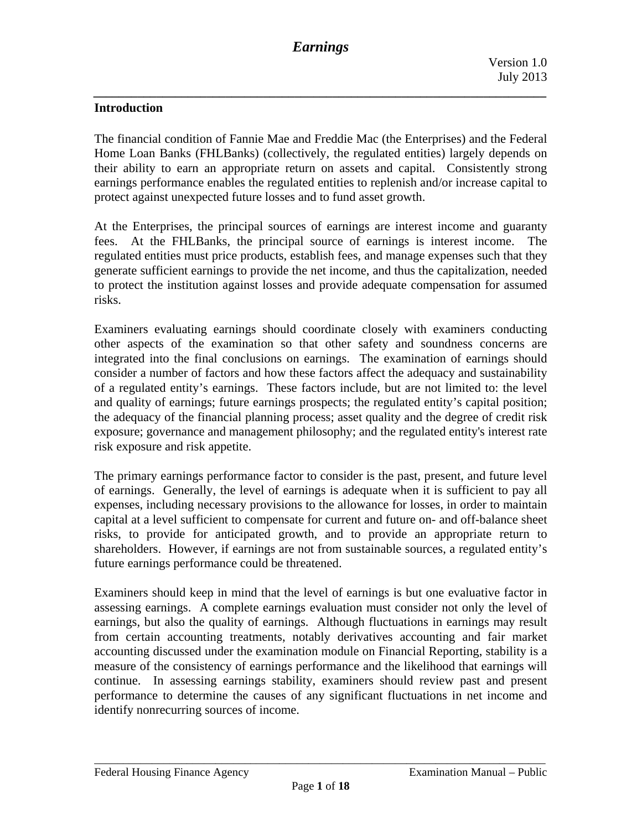## **Introduction**

The financial condition of Fannie Mae and Freddie Mac (the Enterprises) and the Federal Home Loan Banks (FHLBanks) (collectively, the regulated entities) largely depends on their ability to earn an appropriate return on assets and capital. Consistently strong earnings performance enables the regulated entities to replenish and/or increase capital to protect against unexpected future losses and to fund asset growth.

At the Enterprises, the principal sources of earnings are interest income and guaranty fees. At the FHLBanks, the principal source of earnings is interest income. The regulated entities must price products, establish fees, and manage expenses such that they generate sufficient earnings to provide the net income, and thus the capitalization, needed to protect the institution against losses and provide adequate compensation for assumed risks.

Examiners evaluating earnings should coordinate closely with examiners conducting other aspects of the examination so that other safety and soundness concerns are integrated into the final conclusions on earnings. The examination of earnings should consider a number of factors and how these factors affect the adequacy and sustainability of a regulated entity's earnings. These factors include, but are not limited to: the level and quality of earnings; future earnings prospects; the regulated entity's capital position; the adequacy of the financial planning process; asset quality and the degree of credit risk exposure; governance and management philosophy; and the regulated entity's interest rate risk exposure and risk appetite.

The primary earnings performance factor to consider is the past, present, and future level of earnings. Generally, the level of earnings is adequate when it is sufficient to pay all expenses, including necessary provisions to the allowance for losses, in order to maintain capital at a level sufficient to compensate for current and future on- and off-balance sheet risks, to provide for anticipated growth, and to provide an appropriate return to shareholders. However, if earnings are not from sustainable sources, a regulated entity's future earnings performance could be threatened.

Examiners should keep in mind that the level of earnings is but one evaluative factor in assessing earnings. A complete earnings evaluation must consider not only the level of earnings, but also the quality of earnings. Although fluctuations in earnings may result from certain accounting treatments, notably derivatives accounting and fair market accounting discussed under the examination module on Financial Reporting, stability is a measure of the consistency of earnings performance and the likelihood that earnings will continue. In assessing earnings stability, examiners should review past and present performance to determine the causes of any significant fluctuations in net income and identify nonrecurring sources of income.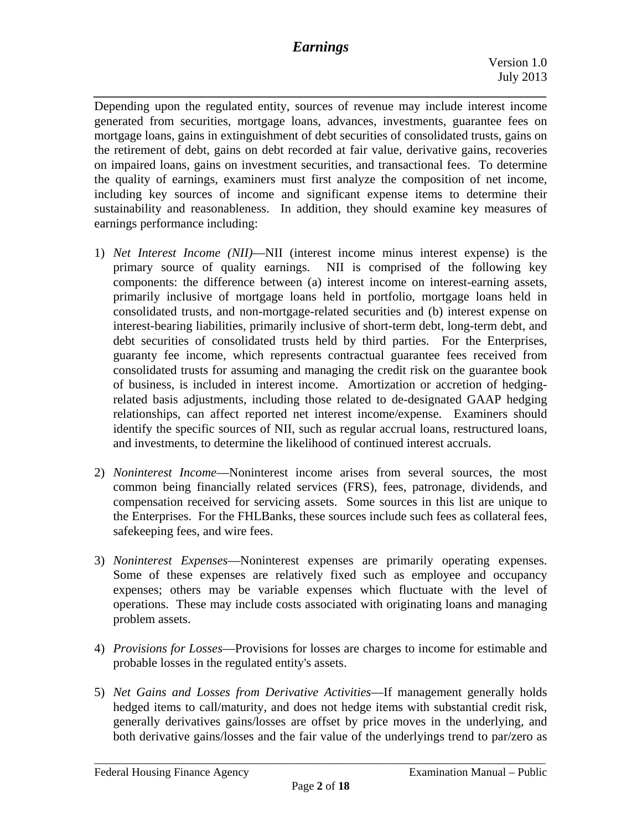*\_\_\_\_\_\_\_\_\_\_\_\_\_\_\_\_\_\_\_\_\_\_\_\_\_\_\_\_\_\_\_\_\_\_\_\_\_\_\_\_\_\_\_\_\_\_\_\_\_\_\_\_\_\_\_\_\_\_\_\_\_\_\_\_\_\_\_\_\_\_\_\_* 

Depending upon the regulated entity, sources of revenue may include interest income generated from securities, mortgage loans, advances, investments, guarantee fees on mortgage loans, gains in extinguishment of debt securities of consolidated trusts, gains on the retirement of debt, gains on debt recorded at fair value, derivative gains, recoveries on impaired loans, gains on investment securities, and transactional fees. To determine the quality of earnings, examiners must first analyze the composition of net income, including key sources of income and significant expense items to determine their sustainability and reasonableness. In addition, they should examine key measures of earnings performance including:

- 1) *Net Interest Income (NII)*—NII (interest income minus interest expense) is the primary source of quality earnings. NII is comprised of the following key components: the difference between (a) interest income on interest-earning assets, primarily inclusive of mortgage loans held in portfolio, mortgage loans held in consolidated trusts, and non-mortgage-related securities and (b) interest expense on interest-bearing liabilities, primarily inclusive of short-term debt, long-term debt, and debt securities of consolidated trusts held by third parties. For the Enterprises, guaranty fee income, which represents contractual guarantee fees received from consolidated trusts for assuming and managing the credit risk on the guarantee book of business, is included in interest income. Amortization or accretion of hedgingrelated basis adjustments, including those related to de-designated GAAP hedging relationships, can affect reported net interest income/expense. Examiners should identify the specific sources of NII, such as regular accrual loans, restructured loans, and investments, to determine the likelihood of continued interest accruals.
- 2) *Noninterest Income*—Noninterest income arises from several sources, the most common being financially related services (FRS), fees, patronage, dividends, and compensation received for servicing assets. Some sources in this list are unique to the Enterprises. For the FHLBanks, these sources include such fees as collateral fees, safekeeping fees, and wire fees.
- 3) *Noninterest Expenses*—Noninterest expenses are primarily operating expenses. Some of these expenses are relatively fixed such as employee and occupancy expenses; others may be variable expenses which fluctuate with the level of operations. These may include costs associated with originating loans and managing problem assets.
- 4) *Provisions for Losses*—Provisions for losses are charges to income for estimable and probable losses in the regulated entity's assets.
- 5) *Net Gains and Losses from Derivative Activities*—If management generally holds hedged items to call/maturity, and does not hedge items with substantial credit risk, generally derivatives gains/losses are offset by price moves in the underlying, and both derivative gains/losses and the fair value of the underlyings trend to par/zero as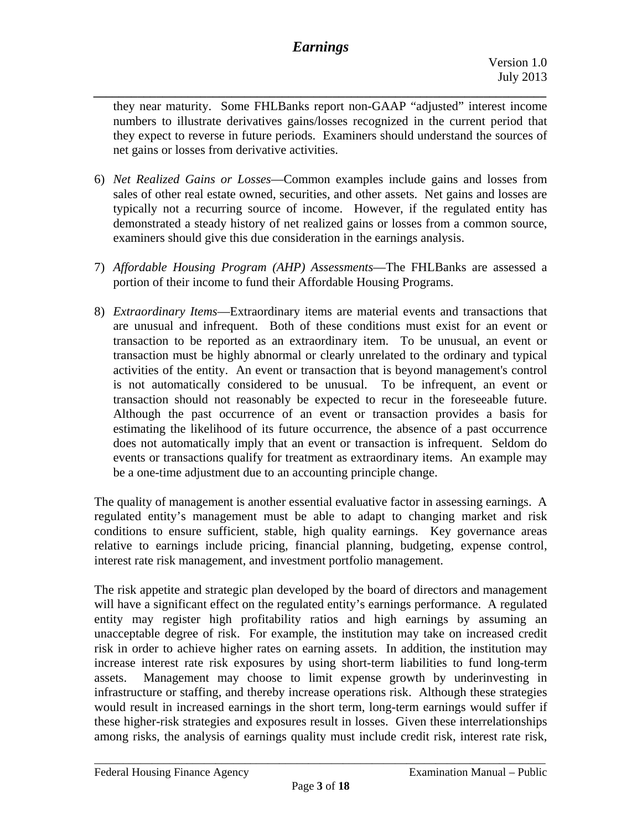*\_\_\_\_\_\_\_\_\_\_\_\_\_\_\_\_\_\_\_\_\_\_\_\_\_\_\_\_\_\_\_\_\_\_\_\_\_\_\_\_\_\_\_\_\_\_\_\_\_\_\_\_\_\_\_\_\_\_\_\_\_\_\_\_\_\_\_\_\_\_\_\_*  they near maturity. Some FHLBanks report non-GAAP "adjusted" interest income numbers to illustrate derivatives gains/losses recognized in the current period that they expect to reverse in future periods. Examiners should understand the sources of net gains or losses from derivative activities.

- 6) *Net Realized Gains or Losses*—Common examples include gains and losses from sales of other real estate owned, securities, and other assets. Net gains and losses are typically not a recurring source of income. However, if the regulated entity has demonstrated a steady history of net realized gains or losses from a common source, examiners should give this due consideration in the earnings analysis.
- 7) *Affordable Housing Program (AHP) Assessments*—The FHLBanks are assessed a portion of their income to fund their Affordable Housing Programs.
- 8) *Extraordinary Items*—Extraordinary items are material events and transactions that are unusual and infrequent. Both of these conditions must exist for an event or transaction to be reported as an extraordinary item. To be unusual, an event or transaction must be highly abnormal or clearly unrelated to the ordinary and typical activities of the entity. An event or transaction that is beyond management's control is not automatically considered to be unusual. To be infrequent, an event or transaction should not reasonably be expected to recur in the foreseeable future. Although the past occurrence of an event or transaction provides a basis for estimating the likelihood of its future occurrence, the absence of a past occurrence does not automatically imply that an event or transaction is infrequent. Seldom do events or transactions qualify for treatment as extraordinary items. An example may be a one-time adjustment due to an accounting principle change.

The quality of management is another essential evaluative factor in assessing earnings. A regulated entity's management must be able to adapt to changing market and risk conditions to ensure sufficient, stable, high quality earnings. Key governance areas relative to earnings include pricing, financial planning, budgeting, expense control, interest rate risk management, and investment portfolio management.

The risk appetite and strategic plan developed by the board of directors and management will have a significant effect on the regulated entity's earnings performance. A regulated entity may register high profitability ratios and high earnings by assuming an unacceptable degree of risk. For example, the institution may take on increased credit risk in order to achieve higher rates on earning assets. In addition, the institution may increase interest rate risk exposures by using short-term liabilities to fund long-term assets. Management may choose to limit expense growth by underinvesting in infrastructure or staffing, and thereby increase operations risk. Although these strategies would result in increased earnings in the short term, long-term earnings would suffer if these higher-risk strategies and exposures result in losses. Given these interrelationships among risks, the analysis of earnings quality must include credit risk, interest rate risk,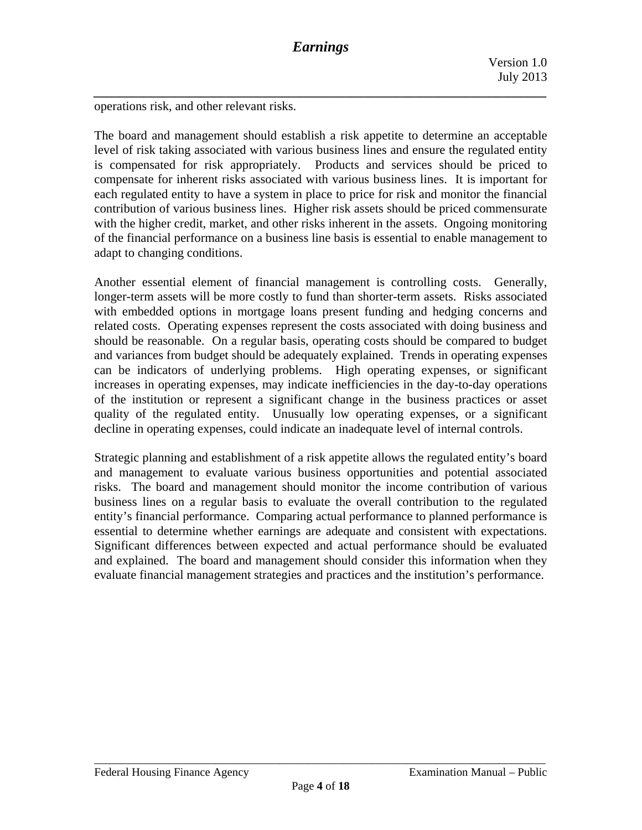operations risk, and other relevant risks.

The board and management should establish a risk appetite to determine an acceptable level of risk taking associated with various business lines and ensure the regulated entity is compensated for risk appropriately. Products and services should be priced to compensate for inherent risks associated with various business lines. It is important for each regulated entity to have a system in place to price for risk and monitor the financial contribution of various business lines. Higher risk assets should be priced commensurate with the higher credit, market, and other risks inherent in the assets. Ongoing monitoring of the financial performance on a business line basis is essential to enable management to adapt to changing conditions.

Another essential element of financial management is controlling costs. Generally, longer-term assets will be more costly to fund than shorter-term assets. Risks associated with embedded options in mortgage loans present funding and hedging concerns and related costs. Operating expenses represent the costs associated with doing business and should be reasonable. On a regular basis, operating costs should be compared to budget and variances from budget should be adequately explained. Trends in operating expenses can be indicators of underlying problems. High operating expenses, or significant increases in operating expenses, may indicate inefficiencies in the day-to-day operations of the institution or represent a significant change in the business practices or asset quality of the regulated entity. Unusually low operating expenses, or a significant decline in operating expenses, could indicate an inadequate level of internal controls.

Strategic planning and establishment of a risk appetite allows the regulated entity's board and management to evaluate various business opportunities and potential associated risks. The board and management should monitor the income contribution of various business lines on a regular basis to evaluate the overall contribution to the regulated entity's financial performance. Comparing actual performance to planned performance is essential to determine whether earnings are adequate and consistent with expectations. Significant differences between expected and actual performance should be evaluated and explained. The board and management should consider this information when they evaluate financial management strategies and practices and the institution's performance.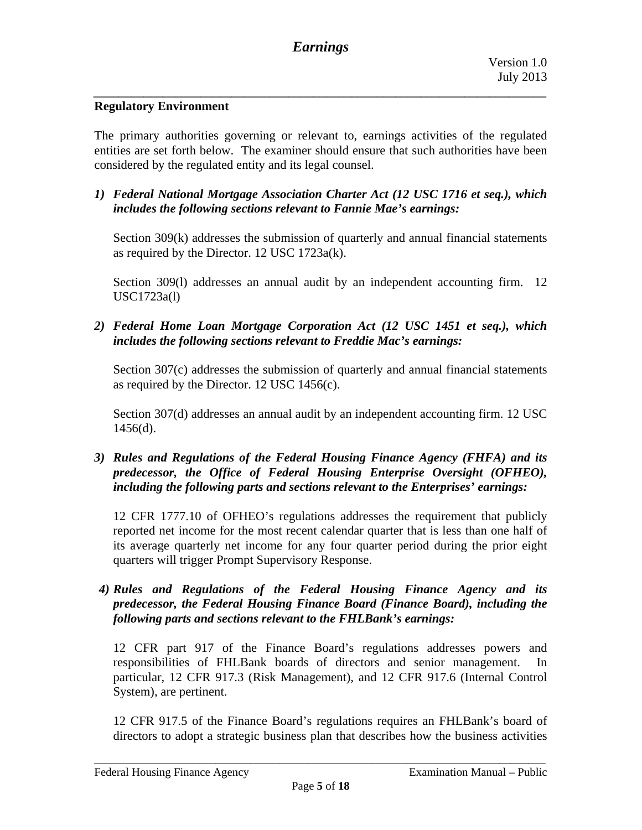## **Regulatory Environment**

The primary authorities governing or relevant to, earnings activities of the regulated entities are set forth below. The examiner should ensure that such authorities have been considered by the regulated entity and its legal counsel.

*1) Federal National Mortgage Association Charter Act (12 USC 1716 et seq.), which includes the following sections relevant to Fannie Mae's earnings:* 

Section 309(k) addresses the submission of quarterly and annual financial statements as required by the Director. 12 USC 1723a(k).

Section 309(l) addresses an annual audit by an independent accounting firm. 12 USC1723a(l)

*2) Federal Home Loan Mortgage Corporation Act (12 USC 1451 et seq.), which includes the following sections relevant to Freddie Mac's earnings:* 

Section 307(c) addresses the submission of quarterly and annual financial statements as required by the Director. 12 USC 1456(c).

Section 307(d) addresses an annual audit by an independent accounting firm. 12 USC  $1456(d)$ .

*3) Rules and Regulations of the Federal Housing Finance Agency (FHFA) and its predecessor, the Office of Federal Housing Enterprise Oversight (OFHEO), including the following parts and sections relevant to the Enterprises' earnings:* 

12 CFR 1777.10 of OFHEO's regulations addresses the requirement that publicly reported net income for the most recent calendar quarter that is less than one half of its average quarterly net income for any four quarter period during the prior eight quarters will trigger Prompt Supervisory Response.

## *4) Rules and Regulations of the Federal Housing Finance Agency and its predecessor, the Federal Housing Finance Board (Finance Board), including the following parts and sections relevant to the FHLBank's earnings:*

12 CFR part 917 of the Finance Board's regulations addresses powers and responsibilities of FHLBank boards of directors and senior management. In particular, 12 CFR 917.3 (Risk Management), and 12 CFR 917.6 (Internal Control System), are pertinent.

12 CFR 917.5 of the Finance Board's regulations requires an FHLBank's board of directors to adopt a strategic business plan that describes how the business activities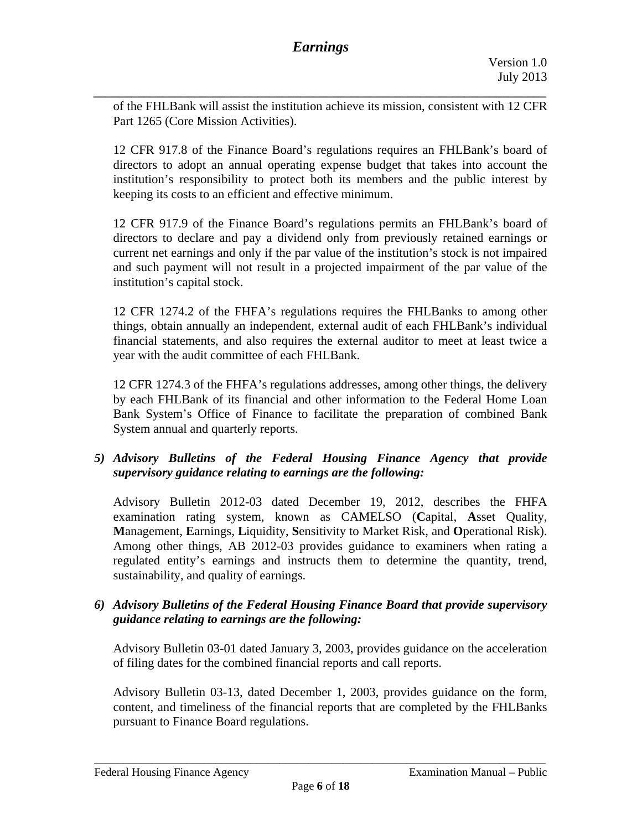*\_\_\_\_\_\_\_\_\_\_\_\_\_\_\_\_\_\_\_\_\_\_\_\_\_\_\_\_\_\_\_\_\_\_\_\_\_\_\_\_\_\_\_\_\_\_\_\_\_\_\_\_\_\_\_\_\_\_\_\_\_\_\_\_\_\_\_\_\_\_\_\_*  of the FHLBank will assist the institution achieve its mission, consistent with 12 CFR Part 1265 (Core Mission Activities).

keeping its costs to an efficient and effective minimum. 12 CFR 917.8 of the Finance Board's regulations requires an FHLBank's board of directors to adopt an annual operating expense budget that takes into account the institution's responsibility to protect both its members and the public interest by

12 CFR 917.9 of the Finance Board's regulations permits an FHLBank's board of directors to declare and pay a dividend only from previously retained earnings or current net earnings and only if the par value of the institution's stock is not impaired and such payment will not result in a projected impairment of the par value of the institution's capital stock.

12 CFR 1274.2 of the FHFA's regulations requires the FHLBanks to among other things, obtain annually an independent, external audit of each FHLBank's individual financial statements, and also requires the external auditor to meet at least twice a year with the audit committee of each FHLBank.

12 CFR 1274.3 of the FHFA's regulations addresses, among other things, the delivery by each FHLBank of its financial and other information to the Federal Home Loan Bank System's Office of Finance to facilitate the preparation of combined Bank System annual and quarterly reports.

## *5) Advisory Bulletins of the Federal Housing Finance Agency that provide supervisory guidance relating to earnings are the following:*

Advisory Bulletin 2012-03 dated December 19, 2012, describes the FHFA examination rating system, known as CAMELSO (**C**apital, **A**sset Quality, **M**anagement, **E**arnings, **L**iquidity, **S**ensitivity to Market Risk, and **O**perational Risk). Among other things, AB 2012-03 provides guidance to examiners when rating a regulated entity's earnings and instructs them to determine the quantity, trend, sustainability, and quality of earnings.

*6) Advisory Bulletins of the Federal Housing Finance Board that provide supervisory guidance relating to earnings are the following:* 

Advisory Bulletin 03-01 dated January 3, 2003, provides guidance on the acceleration of filing dates for the combined financial reports and call reports.

Advisory Bulletin 03-13, dated December 1, 2003, provides guidance on the form, content, and timeliness of the financial reports that are completed by the FHLBanks pursuant to Finance Board regulations.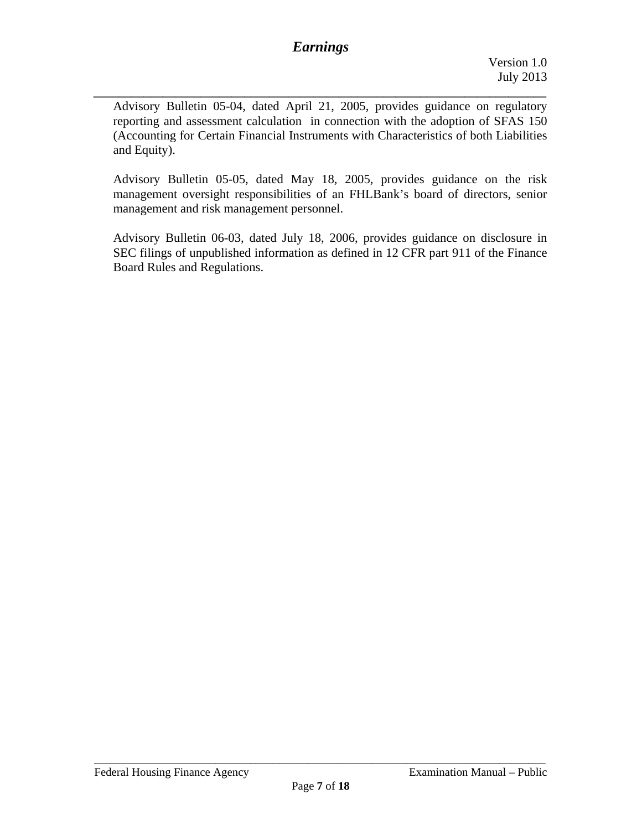Advisory Bulletin 05-04, dated April 21, 2005, provides guidance on regulatory reporting and assessment calculation in connection with the adoption of SFAS 150 (Accounting for Certain Financial Instruments with Characteristics of both Liabilities and Equity).

Advisory Bulletin 05-05, dated May 18, 2005, provides guidance on the risk management oversight responsibilities of an FHLBank's board of directors, senior management and risk management personnel.

Advisory Bulletin 06-03, dated July 18, 2006, provides guidance on disclosure in SEC filings of unpublished information as defined in 12 CFR part 911 of the Finance Board Rules and Regulations.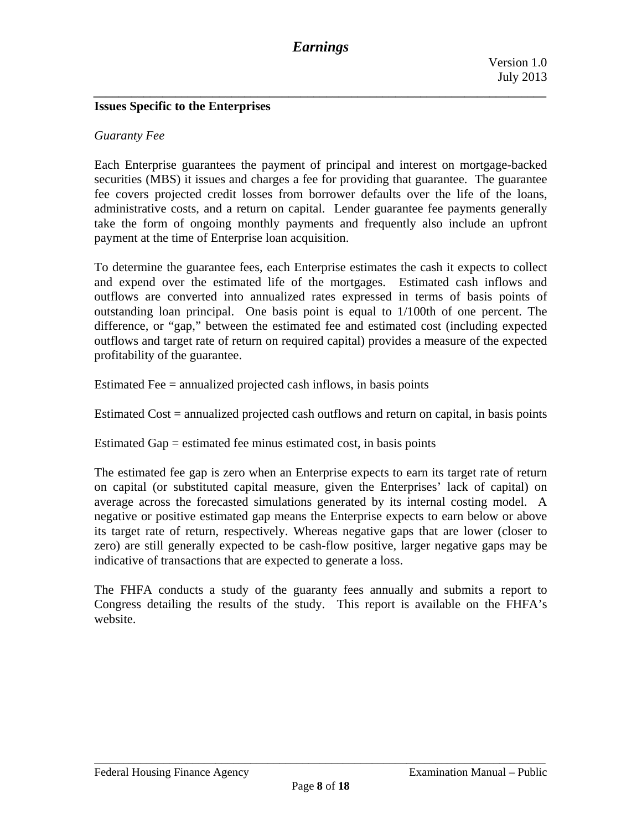#### **Issues Specific to the Enterprises**

#### *Guaranty Fee*

Each Enterprise guarantees the payment of principal and interest on mortgage-backed securities (MBS) it issues and charges a fee for providing that guarantee. The guarantee fee covers projected credit losses from borrower defaults over the life of the loans, administrative costs, and a return on capital. Lender guarantee fee payments generally take the form of ongoing monthly payments and frequently also include an upfront payment at the time of Enterprise loan acquisition.

To determine the guarantee fees, each Enterprise estimates the cash it expects to collect and expend over the estimated life of the mortgages. Estimated cash inflows and outflows are converted into annualized rates expressed in terms of basis points of outstanding loan principal. One basis point is equal to 1/100th of one percent. The difference, or "gap," between the estimated fee and estimated cost (including expected outflows and target rate of return on required capital) provides a measure of the expected profitability of the guarantee.

Estimated Fee = annualized projected cash inflows, in basis points

Estimated Cost = annualized projected cash outflows and return on capital, in basis points

Estimated Gap = estimated fee minus estimated cost, in basis points

The estimated fee gap is zero when an Enterprise expects to earn its target rate of return on capital (or substituted capital measure, given the Enterprises' lack of capital) on average across the forecasted simulations generated by its internal costing model. A negative or positive estimated gap means the Enterprise expects to earn below or above its target rate of return, respectively. Whereas negative gaps that are lower (closer to zero) are still generally expected to be cash-flow positive, larger negative gaps may be indicative of transactions that are expected to generate a loss.

The FHFA conducts a study of the guaranty fees annually and submits a report to Congress detailing the results of the study. This report is available on the FHFA's website.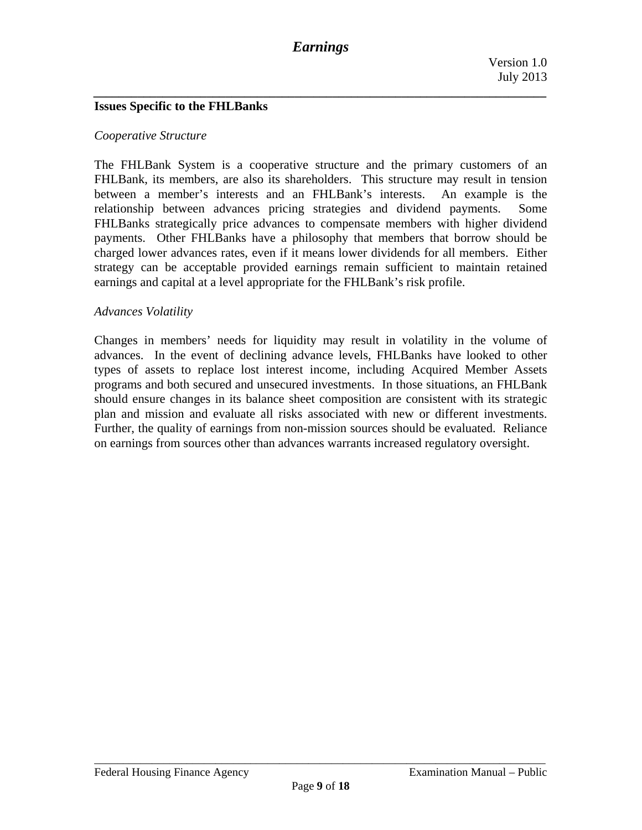*\_\_\_\_\_\_\_\_\_\_\_\_\_\_\_\_\_\_\_\_\_\_\_\_\_\_\_\_\_\_\_\_\_\_\_\_\_\_\_\_\_\_\_\_\_\_\_\_\_\_\_\_\_\_\_\_\_\_\_\_\_\_\_\_\_\_\_\_\_\_\_\_* 

#### **Issues Specific to the FHLBanks**

#### *Cooperative Structure*

The FHLBank System is a cooperative structure and the primary customers of an FHLBank, its members, are also its shareholders. This structure may result in tension between a member's interests and an FHLBank's interests. An example is the relationship between advances pricing strategies and dividend payments. Some FHLBanks strategically price advances to compensate members with higher dividend payments. Other FHLBanks have a philosophy that members that borrow should be charged lower advances rates, even if it means lower dividends for all members. Either strategy can be acceptable provided earnings remain sufficient to maintain retained earnings and capital at a level appropriate for the FHLBank's risk profile.

#### *Advances Volatility*

Changes in members' needs for liquidity may result in volatility in the volume of advances. In the event of declining advance levels, FHLBanks have looked to other types of assets to replace lost interest income, including Acquired Member Assets programs and both secured and unsecured investments. In those situations, an FHLBank should ensure changes in its balance sheet composition are consistent with its strategic plan and mission and evaluate all risks associated with new or different investments. Further, the quality of earnings from non-mission sources should be evaluated. Reliance on earnings from sources other than advances warrants increased regulatory oversight.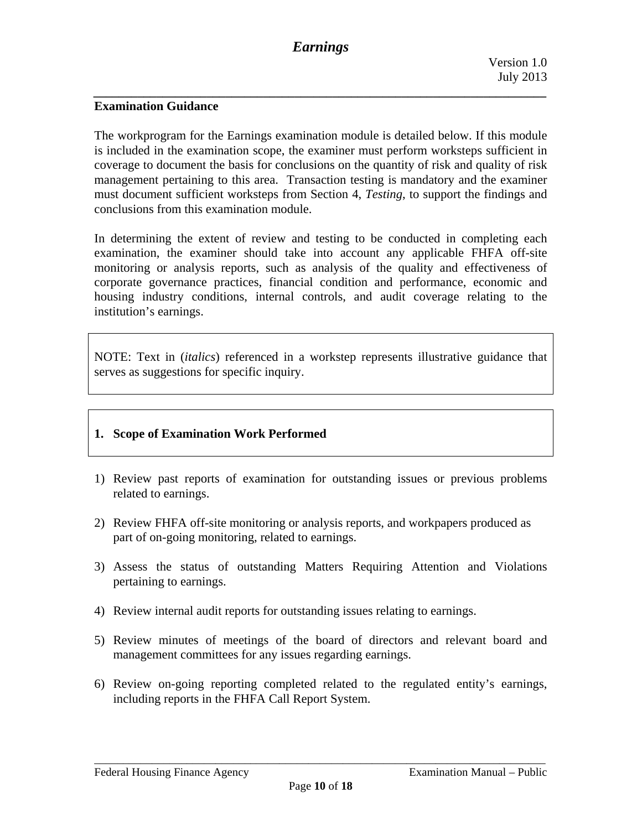## **Examination Guidance**

The workprogram for the Earnings examination module is detailed below. If this module is included in the examination scope, the examiner must perform worksteps sufficient in coverage to document the basis for conclusions on the quantity of risk and quality of risk management pertaining to this area. Transaction testing is mandatory and the examiner must document sufficient worksteps from Section 4, *Testing*, to support the findings and conclusions from this examination module.

In determining the extent of review and testing to be conducted in completing each examination, the examiner should take into account any applicable FHFA off-site monitoring or analysis reports, such as analysis of the quality and effectiveness of corporate governance practices, financial condition and performance, economic and housing industry conditions, internal controls, and audit coverage relating to the institution's earnings.

NOTE: Text in (*italics*) referenced in a workstep represents illustrative guidance that serves as suggestions for specific inquiry.

## **1. Scope of Examination Work Performed**

- 1) Review past reports of examination for outstanding issues or previous problems related to earnings.
- 2) Review FHFA off-site monitoring or analysis reports, and workpapers produced as part of on-going monitoring, related to earnings.
- 3) Assess the status of outstanding Matters Requiring Attention and Violations pertaining to earnings.
- 4) Review internal audit reports for outstanding issues relating to earnings.
- 5) Review minutes of meetings of the board of directors and relevant board and management committees for any issues regarding earnings.
- 6) Review on-going reporting completed related to the regulated entity's earnings, including reports in the FHFA Call Report System.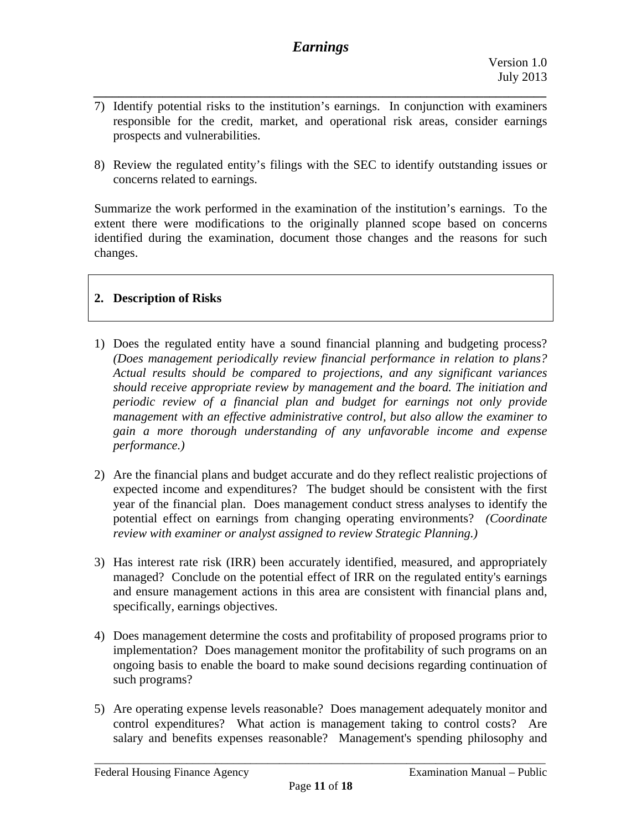- *\_\_\_\_\_\_\_\_\_\_\_\_\_\_\_\_\_\_\_\_\_\_\_\_\_\_\_\_\_\_\_\_\_\_\_\_\_\_\_\_\_\_\_\_\_\_\_\_\_\_\_\_\_\_\_\_\_\_\_\_\_\_\_\_\_\_\_\_\_\_\_\_*  7) Identify potential risks to the institution's earnings. In conjunction with examiners responsible for the credit, market, and operational risk areas, consider earnings prospects and vulnerabilities.
- 8) Review the regulated entity's filings with the SEC to identify outstanding issues or concerns related to earnings.

Summarize the work performed in the examination of the institution's earnings. To the extent there were modifications to the originally planned scope based on concerns identified during the examination, document those changes and the reasons for such changes.

## **2. Description of Risks**

- 1) Does the regulated entity have a sound financial planning and budgeting process? *(Does management periodically review financial performance in relation to plans? Actual results should be compared to projections, and any significant variances should receive appropriate review by management and the board. The initiation and periodic review of a financial plan and budget for earnings not only provide management with an effective administrative control, but also allow the examiner to gain a more thorough understanding of any unfavorable income and expense performance.)*
- potential effect on earnings from changing operating environments? *(Coordinate*  2) Are the financial plans and budget accurate and do they reflect realistic projections of expected income and expenditures? The budget should be consistent with the first year of the financial plan. Does management conduct stress analyses to identify the *review with examiner or analyst assigned to review Strategic Planning.)*
- 3) Has interest rate risk (IRR) been accurately identified, measured, and appropriately managed? Conclude on the potential effect of IRR on the regulated entity's earnings and ensure management actions in this area are consistent with financial plans and, specifically, earnings objectives.
- 4) Does management determine the costs and profitability of proposed programs prior to implementation? Does management monitor the profitability of such programs on an ongoing basis to enable the board to make sound decisions regarding continuation of such programs?
- 5) Are operating expense levels reasonable? Does management adequately monitor and control expenditures? What action is management taking to control costs? Are salary and benefits expenses reasonable? Management's spending philosophy and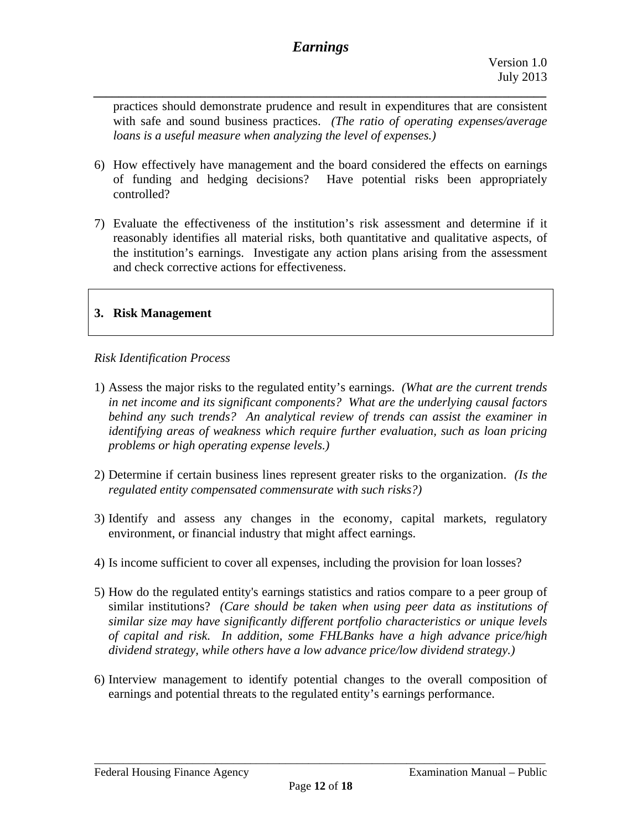*\_\_\_\_\_\_\_\_\_\_\_\_\_\_\_\_\_\_\_\_\_\_\_\_\_\_\_\_\_\_\_\_\_\_\_\_\_\_\_\_\_\_\_\_\_\_\_\_\_\_\_\_\_\_\_\_\_\_\_\_\_\_\_\_\_\_\_\_\_\_\_\_* 

practices should demonstrate prudence and result in expenditures that are consistent with safe and sound business practices. *(The ratio of operating expenses/average loans is a useful measure when analyzing the level of expenses.)* 

- controlled? 6) How effectively have management and the board considered the effects on earnings of funding and hedging decisions? Have potential risks been appropriately
- 7) Evaluate the effectiveness of the institution's risk assessment and determine if it reasonably identifies all material risks, both quantitative and qualitative aspects, of the institution's earnings. Investigate any action plans arising from the assessment and check corrective actions for effectiveness.

#### **3. Risk Management**

#### *Risk Identification Process*

- 1) Assess the major risks to the regulated entity's earnings. *(What are the current trends in net income and its significant components? What are the underlying causal factors behind any such trends? An analytical review of trends can assist the examiner in identifying areas of weakness which require further evaluation, such as loan pricing problems or high operating expense levels.)*
- *regulated entity compensated commensurate with such risks?)* 2) Determine if certain business lines represent greater risks to the organization. *(Is the*
- 3) Identify and assess any changes in the economy, capital markets, regulatory environment, or financial industry that might affect earnings.
- 4) Is income sufficient to cover all expenses, including the provision for loan losses?
- 5) How do the regulated entity's earnings statistics and ratios compare to a peer group of similar institutions? *(Care should be taken when using peer data as institutions of similar size may have significantly different portfolio characteristics or unique levels of capital and risk. In addition, some FHLBanks have a high advance price/high dividend strategy, while others have a low advance price/low dividend strategy.)*
- 6) Interview management to identify potential changes to the overall composition of earnings and potential threats to the regulated entity's earnings performance.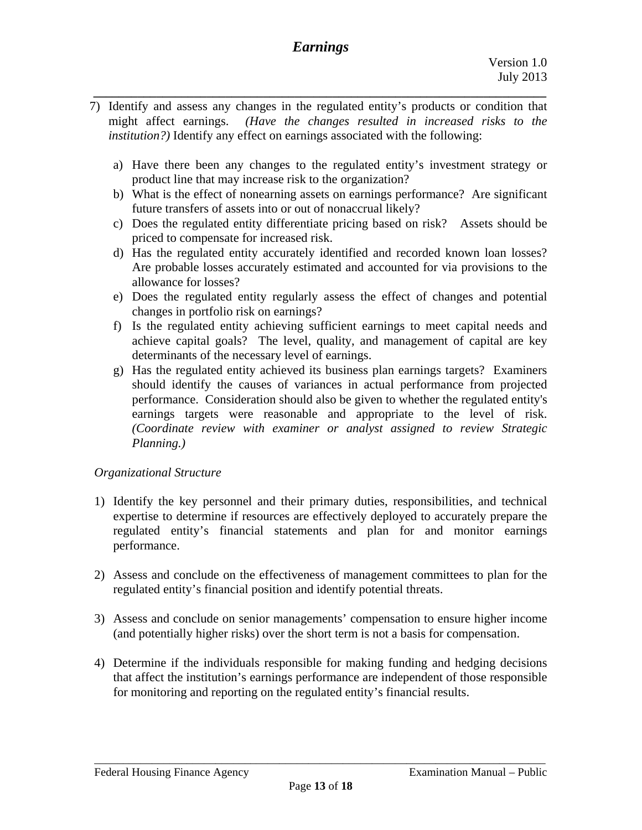- *\_\_\_\_\_\_\_\_\_\_\_\_\_\_\_\_\_\_\_\_\_\_\_\_\_\_\_\_\_\_\_\_\_\_\_\_\_\_\_\_\_\_\_\_\_\_\_\_\_\_\_\_\_\_\_\_\_\_\_\_\_\_\_\_\_\_\_\_\_\_\_\_*  7) Identify and assess any changes in the regulated entity's products or condition that might affect earnings. *(Have the changes resulted in increased risks to the institution?)* Identify any effect on earnings associated with the following:
	- a) Have there been any changes to the regulated entity's investment strategy or product line that may increase risk to the organization?
	- b) What is the effect of nonearning assets on earnings performance? Are significant future transfers of assets into or out of nonaccrual likely?
	- c) Does the regulated entity differentiate pricing based on risk? Assets should be priced to compensate for increased risk.
	- d) Has the regulated entity accurately identified and recorded known loan losses? Are probable losses accurately estimated and accounted for via provisions to the allowance for losses?
	- e) Does the regulated entity regularly assess the effect of changes and potential changes in portfolio risk on earnings?
	- f) Is the regulated entity achieving sufficient earnings to meet capital needs and achieve capital goals? The level, quality, and management of capital are key determinants of the necessary level of earnings.
	- g) Has the regulated entity achieved its business plan earnings targets? Examiners should identify the causes of variances in actual performance from projected performance. Consideration should also be given to whether the regulated entity's earnings targets were reasonable and appropriate to the level of risk. *(Coordinate review with examiner or analyst assigned to review Strategic Planning.)*

## *Organizational Structure*

- 1) Identify the key personnel and their primary duties, responsibilities, and technical expertise to determine if resources are effectively deployed to accurately prepare the regulated entity's financial statements and plan for and monitor earnings performance.
- 2) Assess and conclude on the effectiveness of management committees to plan for the regulated entity's financial position and identify potential threats.
- 3) Assess and conclude on senior managements' compensation to ensure higher income (and potentially higher risks) over the short term is not a basis for compensation.
- 4) Determine if the individuals responsible for making funding and hedging decisions that affect the institution's earnings performance are independent of those responsible for monitoring and reporting on the regulated entity's financial results.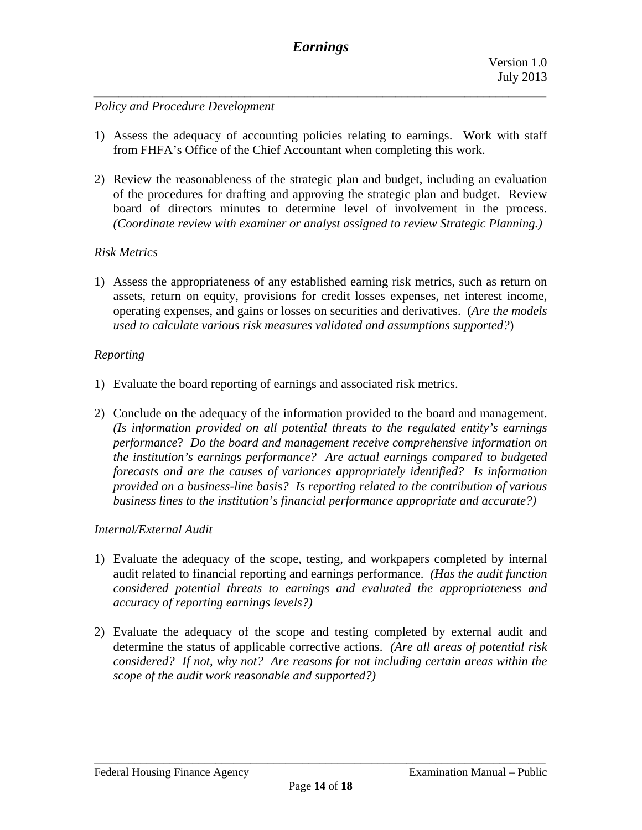*\_\_\_\_\_\_\_\_\_\_\_\_\_\_\_\_\_\_\_\_\_\_\_\_\_\_\_\_\_\_\_\_\_\_\_\_\_\_\_\_\_\_\_\_\_\_\_\_\_\_\_\_\_\_\_\_\_\_\_\_\_\_\_\_\_\_\_\_\_\_\_\_* 

## *Policy and Procedure Development*

- 1) Assess the adequacy of accounting policies relating to earnings. Work with staff from FHFA's Office of the Chief Accountant when completing this work.
- *(Coordinate review with examiner or analyst assigned to review Strategic Planning.) Risk Metrics*  2) Review the reasonableness of the strategic plan and budget, including an evaluation of the procedures for drafting and approving the strategic plan and budget. Review board of directors minutes to determine level of involvement in the process.

1) Assess the appropriateness of any established earning risk metrics, such as return on assets, return on equity, provisions for credit losses expenses, net interest income, operating expenses, and gains or losses on securities and derivatives. (*Are the models used to calculate various risk measures validated and assumptions supported?*)

#### *Reporting*

- 1) Evaluate the board reporting of earnings and associated risk metrics.
- 2) Conclude on the adequacy of the information provided to the board and management. *(Is information provided on all potential threats to the regulated entity's earnings performance*? *Do the board and management receive comprehensive information on the institution's earnings performance? Are actual earnings compared to budgeted forecasts and are the causes of variances appropriately identified? Is information provided on a business-line basis? Is reporting related to the contribution of various business lines to the institution's financial performance appropriate and accurate?)*

## *Internal/External Audit*

- 1) Evaluate the adequacy of the scope, testing, and workpapers completed by internal audit related to financial reporting and earnings performance. *(Has the audit function considered potential threats to earnings and evaluated the appropriateness and accuracy of reporting earnings levels?)*
- 2) Evaluate the adequacy of the scope and testing completed by external audit and determine the status of applicable corrective actions. *(Are all areas of potential risk considered? If not, why not? Are reasons for not including certain areas within the scope of the audit work reasonable and supported?)*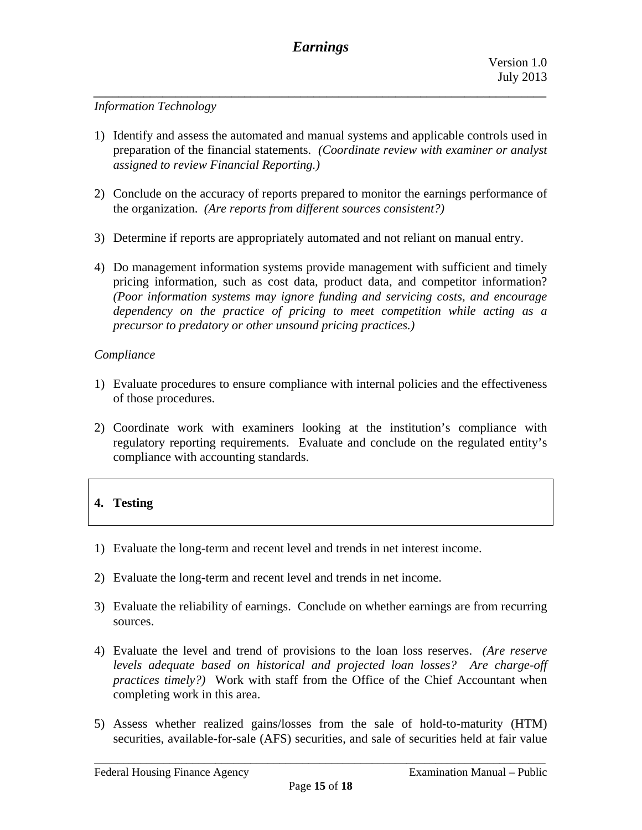*\_\_\_\_\_\_\_\_\_\_\_\_\_\_\_\_\_\_\_\_\_\_\_\_\_\_\_\_\_\_\_\_\_\_\_\_\_\_\_\_\_\_\_\_\_\_\_\_\_\_\_\_\_\_\_\_\_\_\_\_\_\_\_\_\_\_\_\_\_\_\_\_* 

## *Information Technology*

- 1) Identify and assess the automated and manual systems and applicable controls used in preparation of the financial statements. *(Coordinate review with examiner or analyst assigned to review Financial Reporting.)*
- the organization. *(Are reports from different sources consistent?)* 2) Conclude on the accuracy of reports prepared to monitor the earnings performance of
- 3) Determine if reports are appropriately automated and not reliant on manual entry.
- pricing information, such as cost data, product data, and competitor information? 4) Do management information systems provide management with sufficient and timely *(Poor information systems may ignore funding and servicing costs, and encourage dependency on the practice of pricing to meet competition while acting as a precursor to predatory or other unsound pricing practices.)*

## *Compliance*

- 1) Evaluate procedures to ensure compliance with internal policies and the effectiveness of those procedures.
- 2) Coordinate work with examiners looking at the institution's compliance with regulatory reporting requirements. Evaluate and conclude on the regulated entity's compliance with accounting standards.

# **4. Testing**

- 1) Evaluate the long-term and recent level and trends in net interest income.
- 2) Evaluate the long-term and recent level and trends in net income.
- 3) Evaluate the reliability of earnings. Conclude on whether earnings are from recurring sources.
- practices timely?) Work with staff from the Office of the Chief Accountant when completing work in this area. 4) Evaluate the level and trend of provisions to the loan loss reserves. *(Are reserve levels adequate based on historical and projected loan losses? Are charge-off*
- 5) Assess whether realized gains/losses from the sale of hold-to-maturity (HTM) securities, available-for-sale (AFS) securities, and sale of securities held at fair value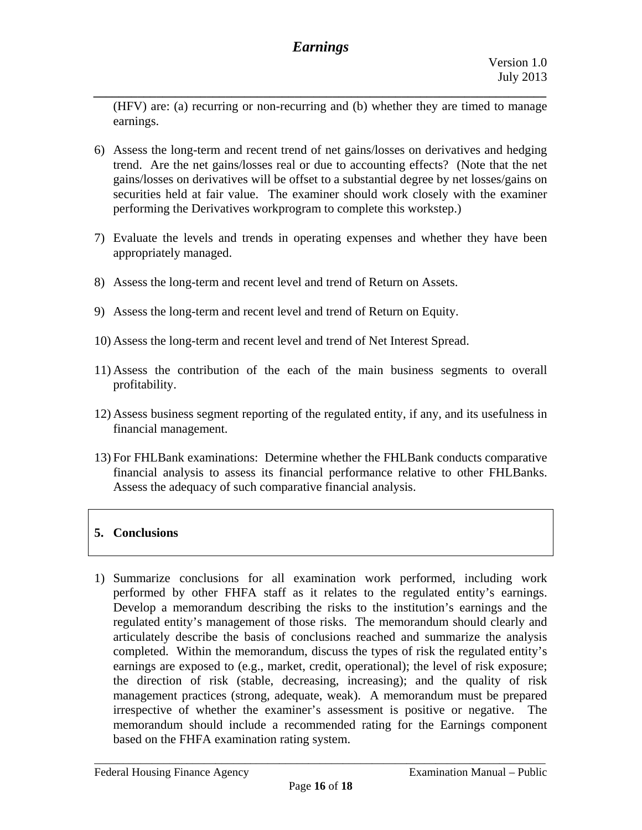*\_\_\_\_\_\_\_\_\_\_\_\_\_\_\_\_\_\_\_\_\_\_\_\_\_\_\_\_\_\_\_\_\_\_\_\_\_\_\_\_\_\_\_\_\_\_\_\_\_\_\_\_\_\_\_\_\_\_\_\_\_\_\_\_\_\_\_\_\_\_\_\_* 

(HFV) are: (a) recurring or non-recurring and (b) whether they are timed to manage earnings.

- 6) Assess the long-term and recent trend of net gains/losses on derivatives and hedging trend. Are the net gains/losses real or due to accounting effects? (Note that the net gains/losses on derivatives will be offset to a substantial degree by net losses/gains on securities held at fair value. The examiner should work closely with the examiner performing the Derivatives workprogram to complete this workstep.)
- 7) Evaluate the levels and trends in operating expenses and whether they have been appropriately managed.
- 8) Assess the long-term and recent level and trend of Return on Assets.
- 9) Assess the long-term and recent level and trend of Return on Equity.
- 10) Assess the long-term and recent level and trend of Net Interest Spread.
- 11) Assess the contribution of the each of the main business segments to overall profitability.
- 12) Assess business segment reporting of the regulated entity, if any, and its usefulness in financial management.
- 13) For FHLBank examinations: Determine whether the FHLBank conducts comparative financial analysis to assess its financial performance relative to other FHLBanks. Assess the adequacy of such comparative financial analysis.

# **5. Conclusions**

1) Summarize conclusions for all examination work performed, including work performed by other FHFA staff as it relates to the regulated entity's earnings. Develop a memorandum describing the risks to the institution's earnings and the regulated entity's management of those risks. The memorandum should clearly and articulately describe the basis of conclusions reached and summarize the analysis completed. Within the memorandum, discuss the types of risk the regulated entity's earnings are exposed to (e.g., market, credit, operational); the level of risk exposure; the direction of risk (stable, decreasing, increasing); and the quality of risk management practices (strong, adequate, weak). A memorandum must be prepared irrespective of whether the examiner's assessment is positive or negative. The memorandum should include a recommended rating for the Earnings component based on the FHFA examination rating system.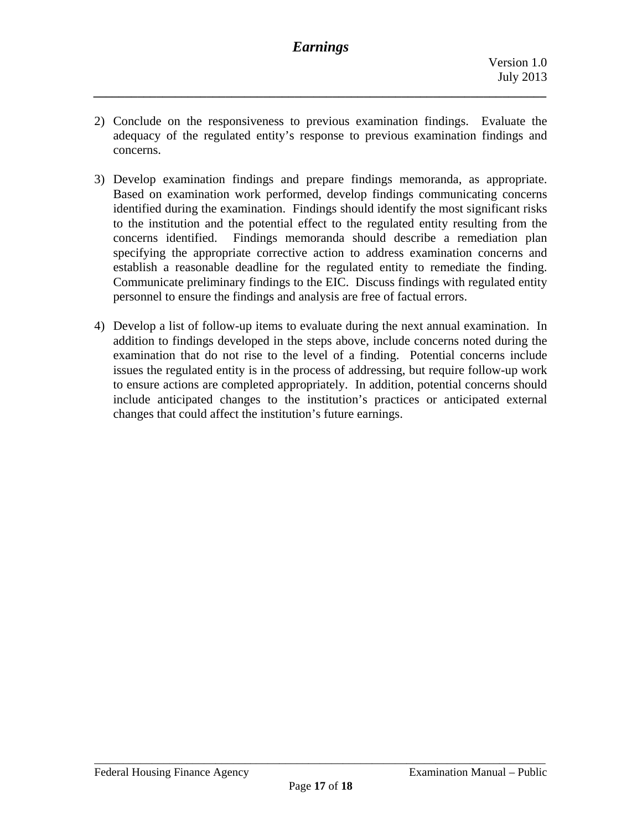2) Conclude on the responsiveness to previous examination findings. Evaluate the adequacy of the regulated entity's response to previous examination findings and concerns.

*\_\_\_\_\_\_\_\_\_\_\_\_\_\_\_\_\_\_\_\_\_\_\_\_\_\_\_\_\_\_\_\_\_\_\_\_\_\_\_\_\_\_\_\_\_\_\_\_\_\_\_\_\_\_\_\_\_\_\_\_\_\_\_\_\_\_\_\_\_\_\_\_* 

- 3) Develop examination findings and prepare findings memoranda, as appropriate. Based on examination work performed, develop findings communicating concerns identified during the examination. Findings should identify the most significant risks to the institution and the potential effect to the regulated entity resulting from the concerns identified. Findings memoranda should describe a remediation plan specifying the appropriate corrective action to address examination concerns and establish a reasonable deadline for the regulated entity to remediate the finding. Communicate preliminary findings to the EIC. Discuss findings with regulated entity personnel to ensure the findings and analysis are free of factual errors.
- 4) Develop a list of follow-up items to evaluate during the next annual examination. In addition to findings developed in the steps above, include concerns noted during the examination that do not rise to the level of a finding. Potential concerns include issues the regulated entity is in the process of addressing, but require follow-up work to ensure actions are completed appropriately. In addition, potential concerns should include anticipated changes to the institution's practices or anticipated external changes that could affect the institution's future earnings.